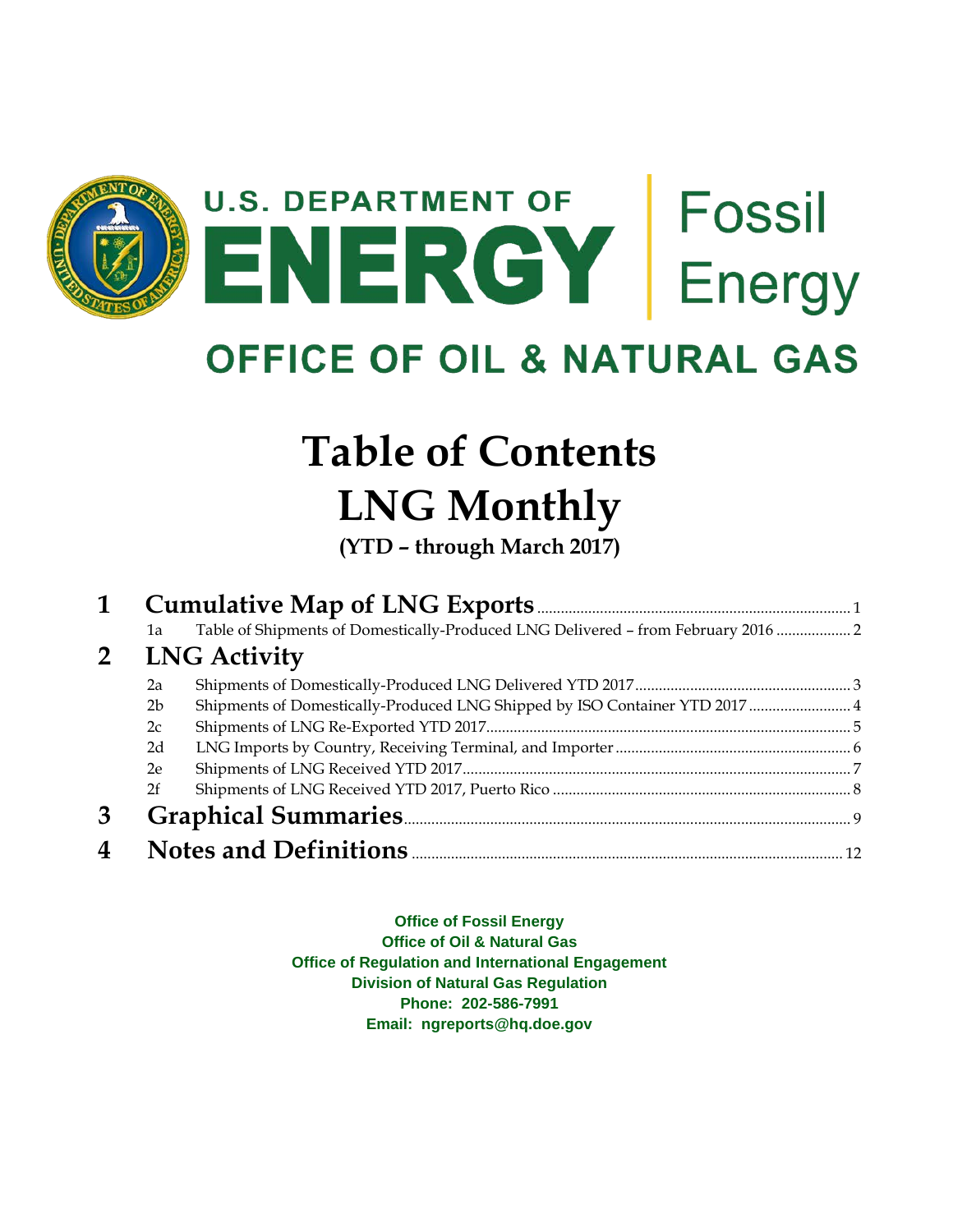

**OFFICE OF OIL & NATURAL GAS** 

## **Table of Contents LNG Monthly**

**(YTD – through March 2017)**

| 1              |                |                                                                                   |  |
|----------------|----------------|-----------------------------------------------------------------------------------|--|
|                | 1a             | Table of Shipments of Domestically-Produced LNG Delivered - from February 2016  2 |  |
| 2 <sup>1</sup> |                | <b>LNG Activity</b>                                                               |  |
|                | 2a             |                                                                                   |  |
|                | 2 <sub>b</sub> | Shipments of Domestically-Produced LNG Shipped by ISO Container YTD 2017  4       |  |
|                | 2c             |                                                                                   |  |
|                | 2d             |                                                                                   |  |
|                | 2e             |                                                                                   |  |
|                | 2f             |                                                                                   |  |
| 3              |                |                                                                                   |  |
| 4              |                |                                                                                   |  |

**Office of Fossil Energy Office of Oil & Natural Gas Office of Regulation and International Engagement Division of Natural Gas Regulation Phone: 202-586-7991 Email: ngreports@hq.doe.gov**